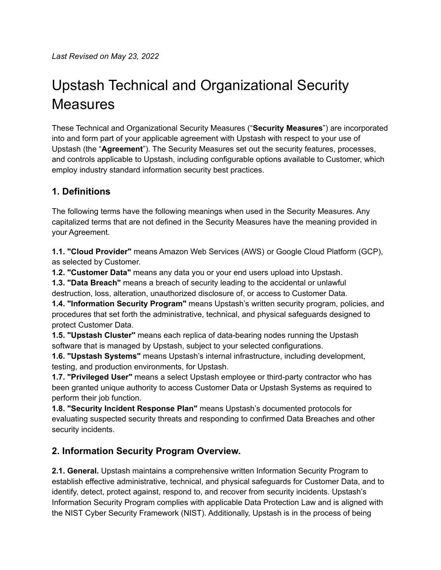# Upstash Technical and Organizational Security **Measures**

These Technical and Organizational Security Measures ("**Security Measures**") are incorporated into and form part of your applicable agreement with Upstash with respect to your use of Upstash (the "**Agreement**"). The Security Measures set out the security features, processes, and controls applicable to Upstash, including configurable options available to Customer, which employ industry standard information security best practices.

# **1. Definitions**

The following terms have the following meanings when used in the Security Measures. Any capitalized terms that are not defined in the Security Measures have the meaning provided in your Agreement.

**1.1. "Cloud Provider"** means Amazon Web Services (AWS) or Google Cloud Platform (GCP), as selected by Customer.

**1.2. "Customer Data"** means any data you or your end users upload into Upstash.

**1.3. "Data Breach"** means a breach of security leading to the accidental or unlawful destruction, loss, alteration, unauthorized disclosure of, or access to Customer Data.

**1.4. "Information Security Program"** means Upstash's written security program, policies, and procedures that set forth the administrative, technical, and physical safeguards designed to protect Customer Data.

**1.5. "Upstash Cluster''** means each replica of data-bearing nodes running the Upstash software that is managed by Upstash, subject to your selected configurations.

**1.6. "Upstash Systems"** means Upstash's internal infrastructure, including development, testing, and production environments, for Upstash.

**1.7. "Privileged User"** means a select Upstash employee or third-party contractor who has been granted unique authority to access Customer Data or Upstash Systems as required to perform their job function.

**1.8. "Security Incident Response Plan"** means Upstash's documented protocols for evaluating suspected security threats and responding to confirmed Data Breaches and other security incidents.

# **2. Information Security Program Overview.**

**2.1. General.** Upstash maintains a comprehensive written Information Security Program to establish effective administrative, technical, and physical safeguards for Customer Data, and to identify, detect, protect against, respond to, and recover from security incidents. Upstash's Information Security Program complies with applicable Data Protection Law and is aligned with the NIST Cyber Security Framework (NIST). Additionally, Upstash is in the process of being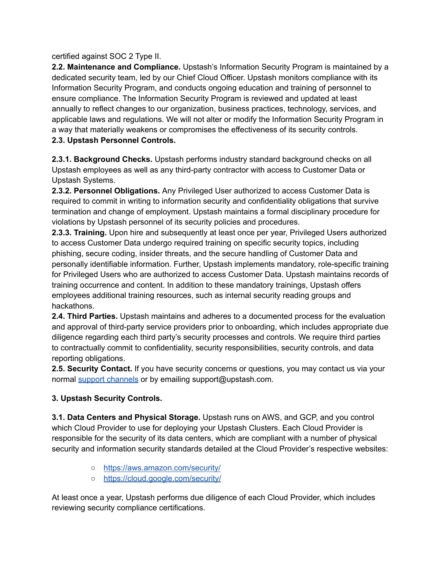#### certified against SOC 2 Type II.

**2.2. Maintenance and Compliance.** Upstash's Information Security Program is maintained by a dedicated security team, led by our Chief Cloud Officer. Upstash monitors compliance with its Information Security Program, and conducts ongoing education and training of personnel to ensure compliance. The Information Security Program is reviewed and updated at least annually to reflect changes to our organization, business practices, technology, services, and applicable laws and regulations. We will not alter or modify the Information Security Program in a way that materially weakens or compromises the effectiveness of its security controls. **2.3. Upstash Personnel Controls.**

**2.3.1. Background Checks.** Upstash performs industry standard background checks on all Upstash employees as well as any third-party contractor with access to Customer Data or Upstash Systems.

**2.3.2. Personnel Obligations.** Any Privileged User authorized to access Customer Data is required to commit in writing to information security and confidentiality obligations that survive termination and change of employment. Upstash maintains a formal disciplinary procedure for violations by Upstash personnel of its security policies and procedures.

**2.3.3. Training.** Upon hire and subsequently at least once per year, Privileged Users authorized to access Customer Data undergo required training on specific security topics, including phishing, secure coding, insider threats, and the secure handling of Customer Data and personally identifiable information. Further, Upstash implements mandatory, role-specific training for Privileged Users who are authorized to access Customer Data. Upstash maintains records of training occurrence and content. In addition to these mandatory trainings, Upstash offers employees additional training resources, such as internal security reading groups and hackathons.

**2.4. Third Parties.** Upstash maintains and adheres to a documented process for the evaluation and approval of third-party service providers prior to onboarding, which includes appropriate due diligence regarding each third party's security processes and controls. We require third parties to contractually commit to confidentiality, security responsibilities, security controls, and data reporting obligations.

**2.5. Security Contact.** If you have security concerns or questions, you may contact us via your normal support [channels](https://docs.upstash.com/support) or by emailing support@upstash.com.

# **3. Upstash Security Controls.**

**3.1. Data Centers and Physical Storage.** Upstash runs on AWS, and GCP, and you control which Cloud Provider to use for deploying your Upstash Clusters. Each Cloud Provider is responsible for the security of its data centers, which are compliant with a number of physical security and information security standards detailed at the Cloud Provider's respective websites:

- <https://aws.amazon.com/security/>
- <https://cloud.google.com/security/>

At least once a year, Upstash performs due diligence of each Cloud Provider, which includes reviewing security compliance certifications.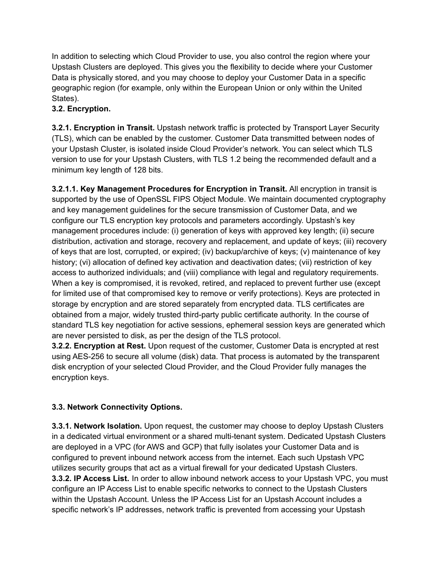In addition to selecting which Cloud Provider to use, you also control the region where your Upstash Clusters are deployed. This gives you the flexibility to decide where your Customer Data is physically stored, and you may choose to deploy your Customer Data in a specific geographic region (for example, only within the European Union or only within the United States).

# **3.2. Encryption.**

**3.2.1. Encryption in Transit.** Upstash network traffic is protected by Transport Layer Security (TLS), which can be enabled by the customer. Customer Data transmitted between nodes of your Upstash Cluster, is isolated inside Cloud Provider's network. You can select which TLS version to use for your Upstash Clusters, with TLS 1.2 being the recommended default and a minimum key length of 128 bits.

**3.2.1.1. Key Management Procedures for Encryption in Transit.** All encryption in transit is supported by the use of OpenSSL FIPS Object Module. We maintain documented cryptography and key management guidelines for the secure transmission of Customer Data, and we configure our TLS encryption key protocols and parameters accordingly. Upstash's key management procedures include: (i) generation of keys with approved key length; (ii) secure distribution, activation and storage, recovery and replacement, and update of keys; (iii) recovery of keys that are lost, corrupted, or expired; (iv) backup/archive of keys; (v) maintenance of key history; (vi) allocation of defined key activation and deactivation dates; (vii) restriction of key access to authorized individuals; and (viii) compliance with legal and regulatory requirements. When a key is compromised, it is revoked, retired, and replaced to prevent further use (except for limited use of that compromised key to remove or verify protections). Keys are protected in storage by encryption and are stored separately from encrypted data. TLS certificates are obtained from a major, widely trusted third-party public certificate authority. In the course of standard TLS key negotiation for active sessions, ephemeral session keys are generated which are never persisted to disk, as per the design of the TLS protocol.

**3.2.2. Encryption at Rest.** Upon request of the customer, Customer Data is encrypted at rest using AES-256 to secure all volume (disk) data. That process is automated by the transparent disk encryption of your selected Cloud Provider, and the Cloud Provider fully manages the encryption keys.

# **3.3. Network Connectivity Options.**

**3.3.1. Network Isolation.** Upon request, the customer may choose to deploy Upstash Clusters in a dedicated virtual environment or a shared multi-tenant system. Dedicated Upstash Clusters are deployed in a VPC (for AWS and GCP) that fully isolates your Customer Data and is configured to prevent inbound network access from the internet. Each such Upstash VPC utilizes security groups that act as a virtual firewall for your dedicated Upstash Clusters. **3.3.2. IP Access List.** In order to allow inbound network access to your Upstash VPC, you must configure an IP Access List to enable specific networks to connect to the Upstash Clusters within the Upstash Account. Unless the IP Access List for an Upstash Account includes a specific network's IP addresses, network traffic is prevented from accessing your Upstash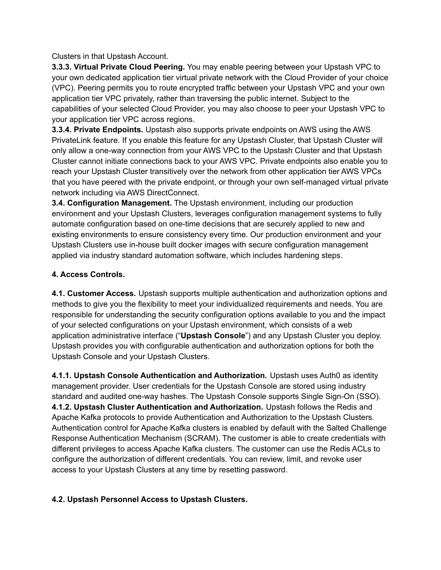Clusters in that Upstash Account.

**3.3.3. Virtual Private Cloud Peering.** You may enable peering between your Upstash VPC to your own dedicated application tier virtual private network with the Cloud Provider of your choice (VPC). Peering permits you to route encrypted traffic between your Upstash VPC and your own application tier VPC privately, rather than traversing the public internet. Subject to the capabilities of your selected Cloud Provider, you may also choose to peer your Upstash VPC to your application tier VPC across regions.

**3.3.4. Private Endpoints.** Upstash also supports private endpoints on AWS using the AWS PrivateLink feature. If you enable this feature for any Upstash Cluster, that Upstash Cluster will only allow a one-way connection from your AWS VPC to the Upstash Cluster and that Upstash Cluster cannot initiate connections back to your AWS VPC. Private endpoints also enable you to reach your Upstash Cluster transitively over the network from other application tier AWS VPCs that you have peered with the private endpoint, or through your own self-managed virtual private network including via AWS DirectConnect.

**3.4. Configuration Management.** The Upstash environment, including our production environment and your Upstash Clusters, leverages configuration management systems to fully automate configuration based on one-time decisions that are securely applied to new and existing environments to ensure consistency every time. Our production environment and your Upstash Clusters use in-house built docker images with secure configuration management applied via industry standard automation software, which includes hardening steps.

#### **4. Access Controls.**

**4.1. Customer Access.** Upstash supports multiple authentication and authorization options and methods to give you the flexibility to meet your individualized requirements and needs. You are responsible for understanding the security configuration options available to you and the impact of your selected configurations on your Upstash environment, which consists of a web application administrative interface ("**Upstash Console**") and any Upstash Cluster you deploy. Upstash provides you with configurable authentication and authorization options for both the Upstash Console and your Upstash Clusters.

**4.1.1. Upstash Console Authentication and Authorization.** Upstash uses Auth0 as identity management provider. User credentials for the Upstash Console are stored using industry standard and audited one-way hashes. The Upstash Console supports Single Sign-On (SSO). **4.1.2. Upstash Cluster Authentication and Authorization.** Upstash follows the Redis and Apache Kafka protocols to provide Authentication and Authorization to the Upstash Clusters. Authentication control for Apache Kafka clusters is enabled by default with the Salted Challenge Response Authentication Mechanism (SCRAM). The customer is able to create credentials with different privileges to access Apache Kafka clusters. The customer can use the Redis ACLs to configure the authorization of different credentials. You can review, limit, and revoke user access to your Upstash Clusters at any time by resetting password.

#### **4.2. Upstash Personnel Access to Upstash Clusters.**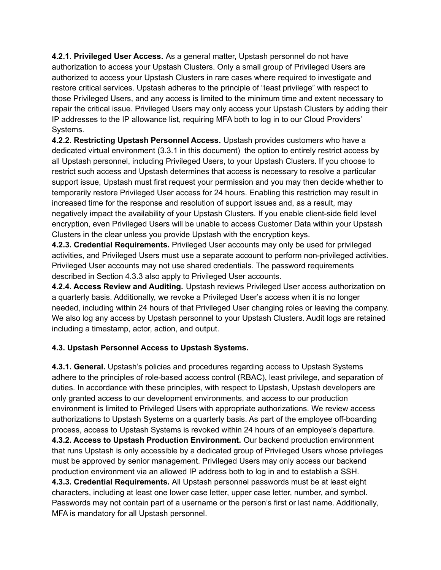**4.2.1. Privileged User Access.** As a general matter, Upstash personnel do not have authorization to access your Upstash Clusters. Only a small group of Privileged Users are authorized to access your Upstash Clusters in rare cases where required to investigate and restore critical services. Upstash adheres to the principle of "least privilege" with respect to those Privileged Users, and any access is limited to the minimum time and extent necessary to repair the critical issue. Privileged Users may only access your Upstash Clusters by adding their IP addresses to the IP allowance list, requiring MFA both to log in to our Cloud Providers' Systems.

**4.2.2. Restricting Upstash Personnel Access.** Upstash provides customers who have a dedicated virtual environment (3.3.1 in this document) the option to entirely restrict access by all Upstash personnel, including Privileged Users, to your Upstash Clusters. If you choose to restrict such access and Upstash determines that access is necessary to resolve a particular support issue, Upstash must first request your permission and you may then decide whether to temporarily restore Privileged User access for 24 hours. Enabling this restriction may result in increased time for the response and resolution of support issues and, as a result, may negatively impact the availability of your Upstash Clusters. If you enable client-side field level encryption, even Privileged Users will be unable to access Customer Data within your Upstash Clusters in the clear unless you provide Upstash with the encryption keys.

**4.2.3. Credential Requirements.** Privileged User accounts may only be used for privileged activities, and Privileged Users must use a separate account to perform non-privileged activities. Privileged User accounts may not use shared credentials. The password requirements described in Section 4.3.3 also apply to Privileged User accounts.

**4.2.4. Access Review and Auditing.** Upstash reviews Privileged User access authorization on a quarterly basis. Additionally, we revoke a Privileged User's access when it is no longer needed, including within 24 hours of that Privileged User changing roles or leaving the company. We also log any access by Upstash personnel to your Upstash Clusters. Audit logs are retained including a timestamp, actor, action, and output.

#### **4.3. Upstash Personnel Access to Upstash Systems.**

**4.3.1. General.** Upstash's policies and procedures regarding access to Upstash Systems adhere to the principles of role-based access control (RBAC), least privilege, and separation of duties. In accordance with these principles, with respect to Upstash, Upstash developers are only granted access to our development environments, and access to our production environment is limited to Privileged Users with appropriate authorizations. We review access authorizations to Upstash Systems on a quarterly basis. As part of the employee off-boarding process, access to Upstash Systems is revoked within 24 hours of an employee's departure. **4.3.2. Access to Upstash Production Environment.** Our backend production environment that runs Upstash is only accessible by a dedicated group of Privileged Users whose privileges must be approved by senior management. Privileged Users may only access our backend production environment via an allowed IP address both to log in and to establish a SSH. **4.3.3. Credential Requirements.** All Upstash personnel passwords must be at least eight characters, including at least one lower case letter, upper case letter, number, and symbol. Passwords may not contain part of a username or the person's first or last name. Additionally, MFA is mandatory for all Upstash personnel.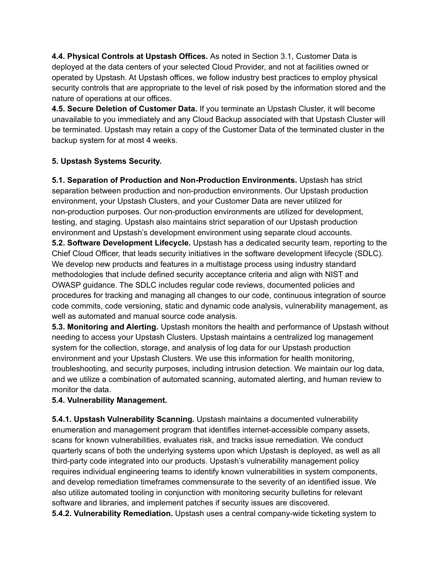**4.4. Physical Controls at Upstash Offices.** As noted in Section 3.1, Customer Data is deployed at the data centers of your selected Cloud Provider, and not at facilities owned or operated by Upstash. At Upstash offices, we follow industry best practices to employ physical security controls that are appropriate to the level of risk posed by the information stored and the nature of operations at our offices.

**4.5. Secure Deletion of Customer Data.** If you terminate an Upstash Cluster, it will become unavailable to you immediately and any Cloud Backup associated with that Upstash Cluster will be terminated. Upstash may retain a copy of the Customer Data of the terminated cluster in the backup system for at most 4 weeks.

#### **5. Upstash Systems Security.**

**5.1. Separation of Production and Non-Production Environments.** Upstash has strict separation between production and non-production environments. Our Upstash production environment, your Upstash Clusters, and your Customer Data are never utilized for non-production purposes. Our non-production environments are utilized for development, testing, and staging. Upstash also maintains strict separation of our Upstash production environment and Upstash's development environment using separate cloud accounts.

**5.2. Software Development Lifecycle.** Upstash has a dedicated security team, reporting to the Chief Cloud Officer, that leads security initiatives in the software development lifecycle (SDLC). We develop new products and features in a multistage process using industry standard methodologies that include defined security acceptance criteria and align with NIST and OWASP guidance. The SDLC includes regular code reviews, documented policies and procedures for tracking and managing all changes to our code, continuous integration of source code commits, code versioning, static and dynamic code analysis, vulnerability management, as well as automated and manual source code analysis.

**5.3. Monitoring and Alerting.** Upstash monitors the health and performance of Upstash without needing to access your Upstash Clusters. Upstash maintains a centralized log management system for the collection, storage, and analysis of log data for our Upstash production environment and your Upstash Clusters. We use this information for health monitoring, troubleshooting, and security purposes, including intrusion detection. We maintain our log data, and we utilize a combination of automated scanning, automated alerting, and human review to monitor the data.

# **5.4. Vulnerability Management.**

**5.4.1. Upstash Vulnerability Scanning.** Upstash maintains a documented vulnerability enumeration and management program that identifies internet-accessible company assets, scans for known vulnerabilities, evaluates risk, and tracks issue remediation. We conduct quarterly scans of both the underlying systems upon which Upstash is deployed, as well as all third-party code integrated into our products. Upstash's vulnerability management policy requires individual engineering teams to identify known vulnerabilities in system components, and develop remediation timeframes commensurate to the severity of an identified issue. We also utilize automated tooling in conjunction with monitoring security bulletins for relevant software and libraries, and implement patches if security issues are discovered. **5.4.2. Vulnerability Remediation.** Upstash uses a central company-wide ticketing system to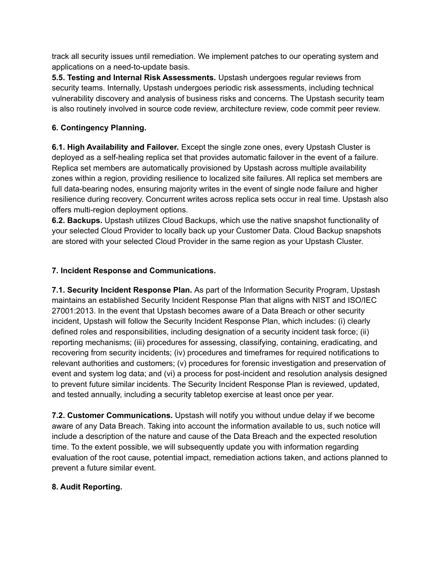track all security issues until remediation. We implement patches to our operating system and applications on a need-to-update basis.

**5.5. Testing and Internal Risk Assessments.** Upstash undergoes regular reviews from security teams. Internally, Upstash undergoes periodic risk assessments, including technical vulnerability discovery and analysis of business risks and concerns. The Upstash security team is also routinely involved in source code review, architecture review, code commit peer review.

# **6. Contingency Planning.**

**6.1. High Availability and Failover.** Except the single zone ones, every Upstash Cluster is deployed as a self-healing replica set that provides automatic failover in the event of a failure. Replica set members are automatically provisioned by Upstash across multiple availability zones within a region, providing resilience to localized site failures. All replica set members are full data-bearing nodes, ensuring majority writes in the event of single node failure and higher resilience during recovery. Concurrent writes across replica sets occur in real time. Upstash also offers multi-region deployment options.

**6.2. Backups.** Upstash utilizes Cloud Backups, which use the native snapshot functionality of your selected Cloud Provider to locally back up your Customer Data. Cloud Backup snapshots are stored with your selected Cloud Provider in the same region as your Upstash Cluster.

# **7. Incident Response and Communications.**

**7.1. Security Incident Response Plan.** As part of the Information Security Program, Upstash maintains an established Security Incident Response Plan that aligns with NIST and ISO/IEC 27001:2013. In the event that Upstash becomes aware of a Data Breach or other security incident, Upstash will follow the Security Incident Response Plan, which includes: (i) clearly defined roles and responsibilities, including designation of a security incident task force; (ii) reporting mechanisms; (iii) procedures for assessing, classifying, containing, eradicating, and recovering from security incidents; (iv) procedures and timeframes for required notifications to relevant authorities and customers; (v) procedures for forensic investigation and preservation of event and system log data; and (vi) a process for post-incident and resolution analysis designed to prevent future similar incidents. The Security Incident Response Plan is reviewed, updated, and tested annually, including a security tabletop exercise at least once per year.

**7.2. Customer Communications.** Upstash will notify you without undue delay if we become aware of any Data Breach. Taking into account the information available to us, such notice will include a description of the nature and cause of the Data Breach and the expected resolution time. To the extent possible, we will subsequently update you with information regarding evaluation of the root cause, potential impact, remediation actions taken, and actions planned to prevent a future similar event.

# **8. Audit Reporting.**